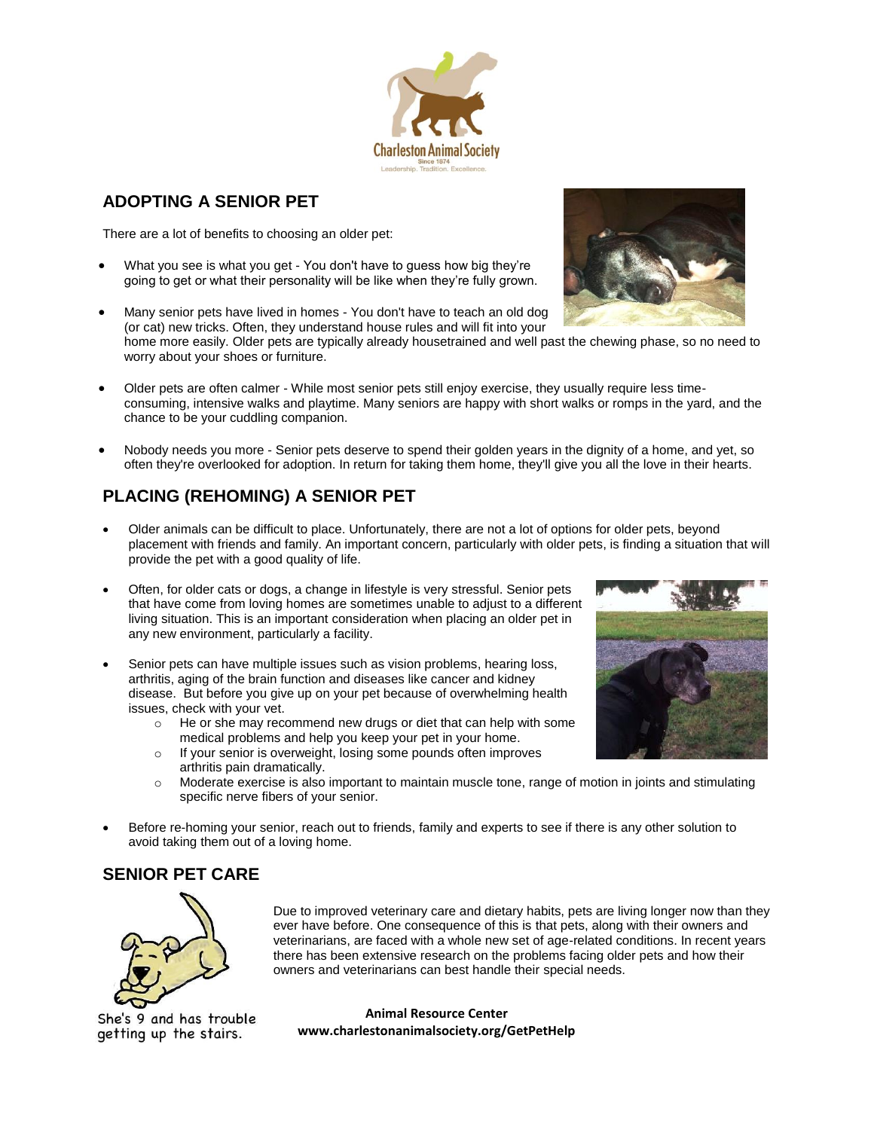# **ADOPTING A SENIOR PET**

There are a lot of benefits to choosing an older pet:

- What you see is what you get You don't have to guess how big they're going to get or what their personality will be like when they're fully grown.
- Many senior pets have lived in homes You don't have to teach an old dog (or cat) new tricks. Often, they understand house rules and will fit into your home more easily. Older pets are typically already housetrained and well past the chewing phase, so no need to worry about your shoes or furniture.
- Older pets are often calmer While most senior pets still enjoy exercise, they usually require less timeconsuming, intensive walks and playtime. Many seniors are happy with short walks or romps in the yard, and the chance to be your cuddling companion.
- Nobody needs you more Senior pets deserve to spend their golden years in the dignity of a home, and yet, so often they're overlooked for adoption. In return for taking them home, they'll give you all the love in their hearts.

# **PLACING (REHOMING) A SENIOR PET**

- Older animals can be difficult to place. Unfortunately, there are not a lot of options for older pets, beyond placement with friends and family. An important concern, particularly with older pets, is finding a situation that will provide the pet with a good quality of life.
- Often, for older cats or dogs, a change in lifestyle is very stressful. Senior pets that have come from loving homes are sometimes unable to adjust to a different living situation. This is an important consideration when placing an older pet in any new environment, particularly a facility.
- Senior pets can have multiple issues such as vision problems, hearing loss, arthritis, aging of the brain function and diseases like cancer and kidney disease. But before you give up on your pet because of overwhelming health issues, check with your vet.
	- o He or she may recommend new drugs or diet that can help with some medical problems and help you keep your pet in your home.
	- o If your senior is overweight, losing some pounds often improves arthritis pain dramatically.
	- $\circ$  Moderate exercise is also important to maintain muscle tone, range of motion in joints and stimulating specific nerve fibers of your senior.
- Before re-homing your senior, reach out to friends, family and experts to see if there is any other solution to avoid taking them out of a loving home.

# **SENIOR PET CARE**

Due to improved veterinary care and dietary habits, pets are living longer now than they ever have before. One consequence of this is that pets, along with their owners and veterinarians, are faced with a whole new set of age-related conditions. In recent years there has been extensive research on the problems facing older pets and how their owners and veterinarians can best handle their special needs.

She's 9 and has trouble getting up the stairs.





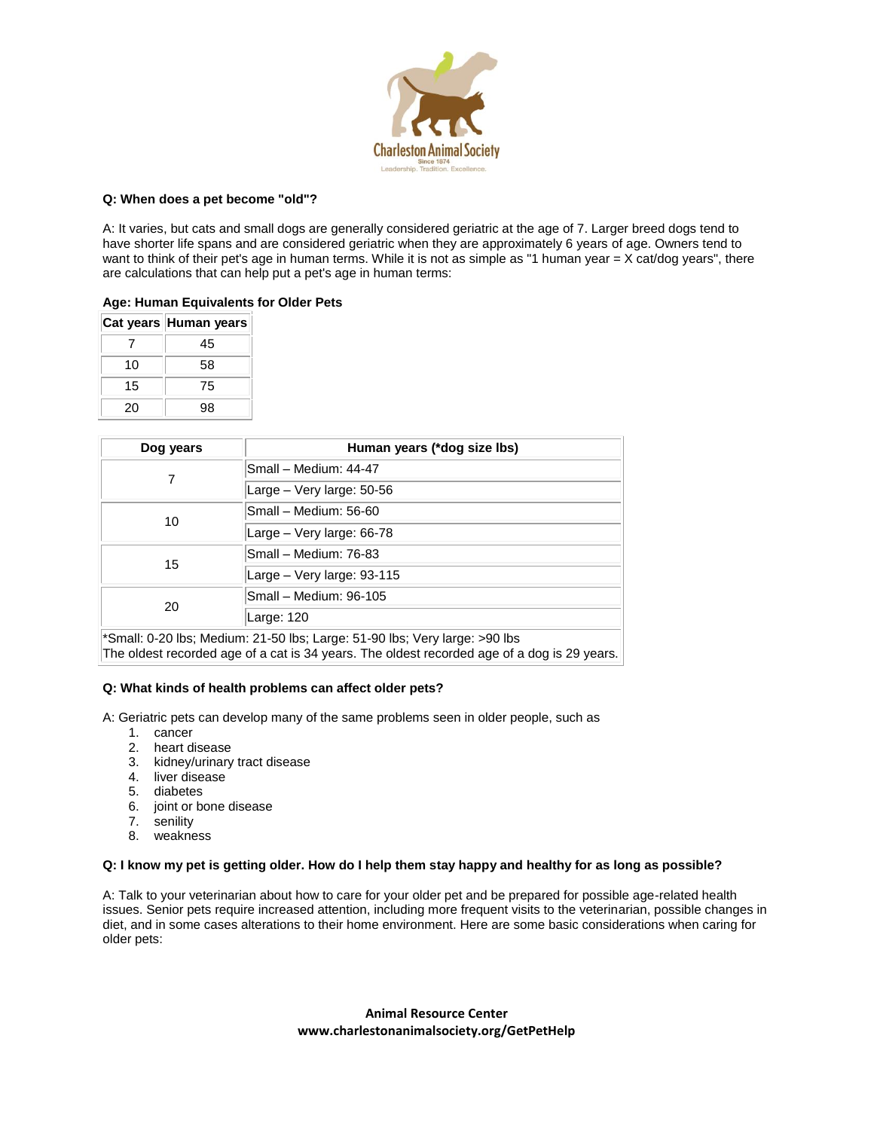

## **Q: When does a pet become "old"?**

A: It varies, but cats and small dogs are generally considered geriatric at the age of 7. Larger breed dogs tend to have shorter life spans and are considered geriatric when they are approximately 6 years of age. Owners tend to want to think of their pet's age in human terms. While it is not as simple as "1 human year = X cat/dog years", there are calculations that can help put a pet's age in human terms:

# **Age: Human Equivalents for Older Pets**

|    | Cat years Human years |
|----|-----------------------|
|    | 45                    |
| 10 | 58                    |
| 15 | 75                    |
| 20 | 98                    |

| Human years (*dog size lbs) |  |
|-----------------------------|--|
| Small - Medium: 44-47       |  |
| Large - Very large: 50-56   |  |
| Small - Medium: 56-60       |  |
| Large - Very large: 66-78   |  |
| Small - Medium: 76-83       |  |
| Large - Very large: 93-115  |  |
| Small - Medium: 96-105      |  |
| Large: 120                  |  |
|                             |  |

\*Small: 0-20 lbs; Medium: 21-50 lbs; Large: 51-90 lbs; Very large: >90 lbs The oldest recorded age of a cat is 34 years. The oldest recorded age of a dog is 29 years.

### **Q: What kinds of health problems can affect older pets?**

A: Geriatric pets can develop many of the same problems seen in older people, such as

- 1. cancer
- 2. heart disease
- 3. kidney/urinary tract disease
- 4. liver disease
- 5. diabetes
- 6. joint or bone disease
- 7. senility
- 8. weakness

### **Q: I know my pet is getting older. How do I help them stay happy and healthy for as long as possible?**

A: Talk to your veterinarian about how to care for your older pet and be prepared for possible age-related health issues. Senior pets require increased attention, including more frequent visits to the veterinarian, possible changes in diet, and in some cases alterations to their home environment. Here are some basic considerations when caring for older pets: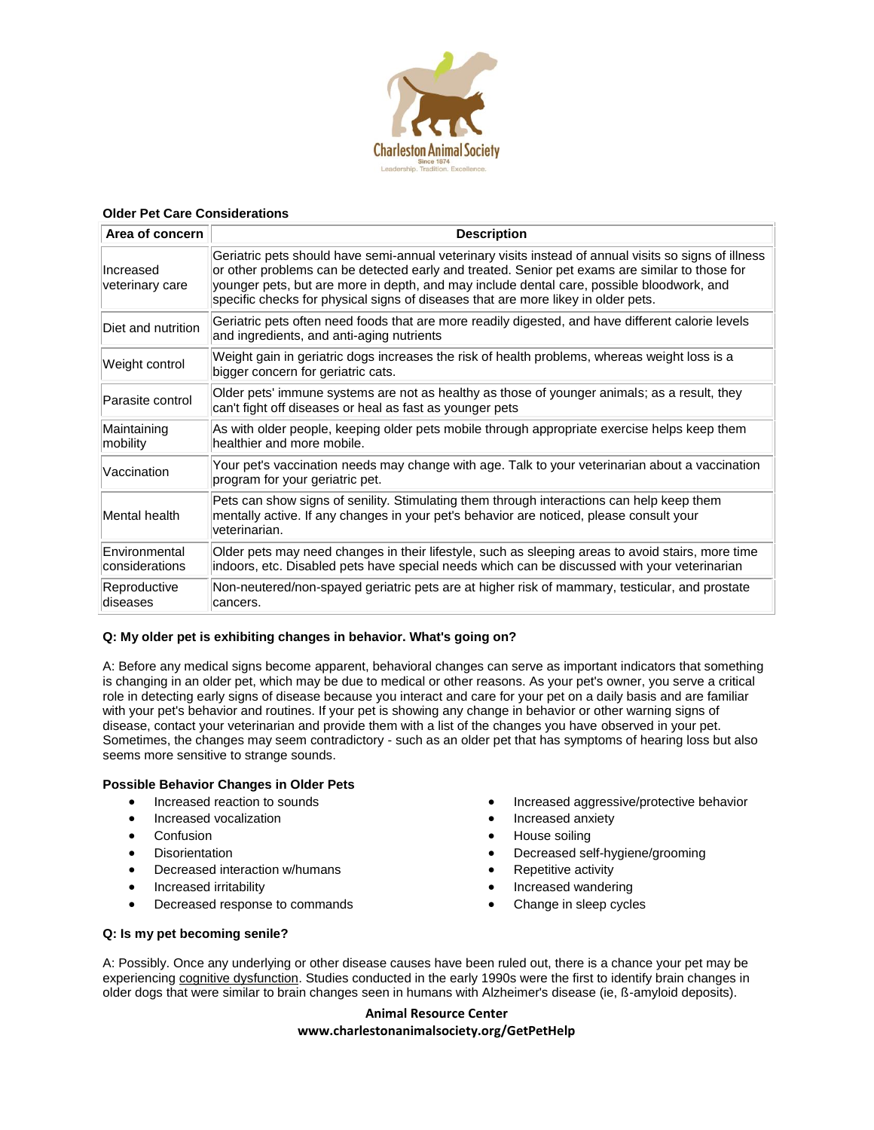

## **Older Pet Care Considerations**

| Area of concern                 | <b>Description</b>                                                                                                                                                                                                                                                                                                                                                                        |  |
|---------------------------------|-------------------------------------------------------------------------------------------------------------------------------------------------------------------------------------------------------------------------------------------------------------------------------------------------------------------------------------------------------------------------------------------|--|
| Increased<br>veterinary care    | Geriatric pets should have semi-annual veterinary visits instead of annual visits so signs of illness<br>or other problems can be detected early and treated. Senior pet exams are similar to those for<br>younger pets, but are more in depth, and may include dental care, possible bloodwork, and<br>specific checks for physical signs of diseases that are more likey in older pets. |  |
| Diet and nutrition              | Geriatric pets often need foods that are more readily digested, and have different calorie levels<br>and ingredients, and anti-aging nutrients                                                                                                                                                                                                                                            |  |
| Weight control                  | Weight gain in geriatric dogs increases the risk of health problems, whereas weight loss is a<br>bigger concern for geriatric cats.                                                                                                                                                                                                                                                       |  |
| Parasite control                | Older pets' immune systems are not as healthy as those of younger animals; as a result, they<br>can't fight off diseases or heal as fast as younger pets                                                                                                                                                                                                                                  |  |
| Maintaining<br>mobility         | As with older people, keeping older pets mobile through appropriate exercise helps keep them<br>healthier and more mobile.                                                                                                                                                                                                                                                                |  |
| Vaccination                     | Your pet's vaccination needs may change with age. Talk to your veterinarian about a vaccination<br>program for your geriatric pet.                                                                                                                                                                                                                                                        |  |
| Mental health                   | Pets can show signs of senility. Stimulating them through interactions can help keep them<br>mentally active. If any changes in your pet's behavior are noticed, please consult your<br>veterinarian.                                                                                                                                                                                     |  |
| Environmental<br>considerations | Older pets may need changes in their lifestyle, such as sleeping areas to avoid stairs, more time<br>indoors, etc. Disabled pets have special needs which can be discussed with your veterinarian                                                                                                                                                                                         |  |
| Reproductive<br>diseases        | Non-neutered/non-spayed geriatric pets are at higher risk of mammary, testicular, and prostate<br>cancers.                                                                                                                                                                                                                                                                                |  |

# **Q: My older pet is exhibiting changes in behavior. What's going on?**

A: Before any medical signs become apparent, behavioral changes can serve as important indicators that something is changing in an older pet, which may be due to medical or other reasons. As your pet's owner, you serve a critical role in detecting early signs of disease because you interact and care for your pet on a daily basis and are familiar with your pet's behavior and routines. If your pet is showing any change in behavior or other warning signs of disease, contact your veterinarian and provide them with a list of the changes you have observed in your pet. Sometimes, the changes may seem contradictory - such as an older pet that has symptoms of hearing loss but also seems more sensitive to strange sounds.

# **Possible Behavior Changes in Older Pets**

- Increased reaction to sounds
- Increased vocalization
- Confusion
- **•** Disorientation
- Decreased interaction w/humans
- Increased irritability
- Decreased response to commands
- House soiling
	- Decreased self-hygiene/grooming

Increased aggressive/protective behavior

- Repetitive activity
- Increased wandering

Increased anxiety

Change in sleep cycles

# **Q: Is my pet becoming senile?**

A: Possibly. Once any underlying or other disease causes have been ruled out, there is a chance your pet may be experiencing [cognitive dysfunction.](https://www.avma.org/News/JAVMANews/Pages/060815b.aspx) Studies conducted in the early 1990s were the first to identify brain changes in older dogs that were similar to brain changes seen in humans with Alzheimer's disease (ie, ß-amyloid deposits).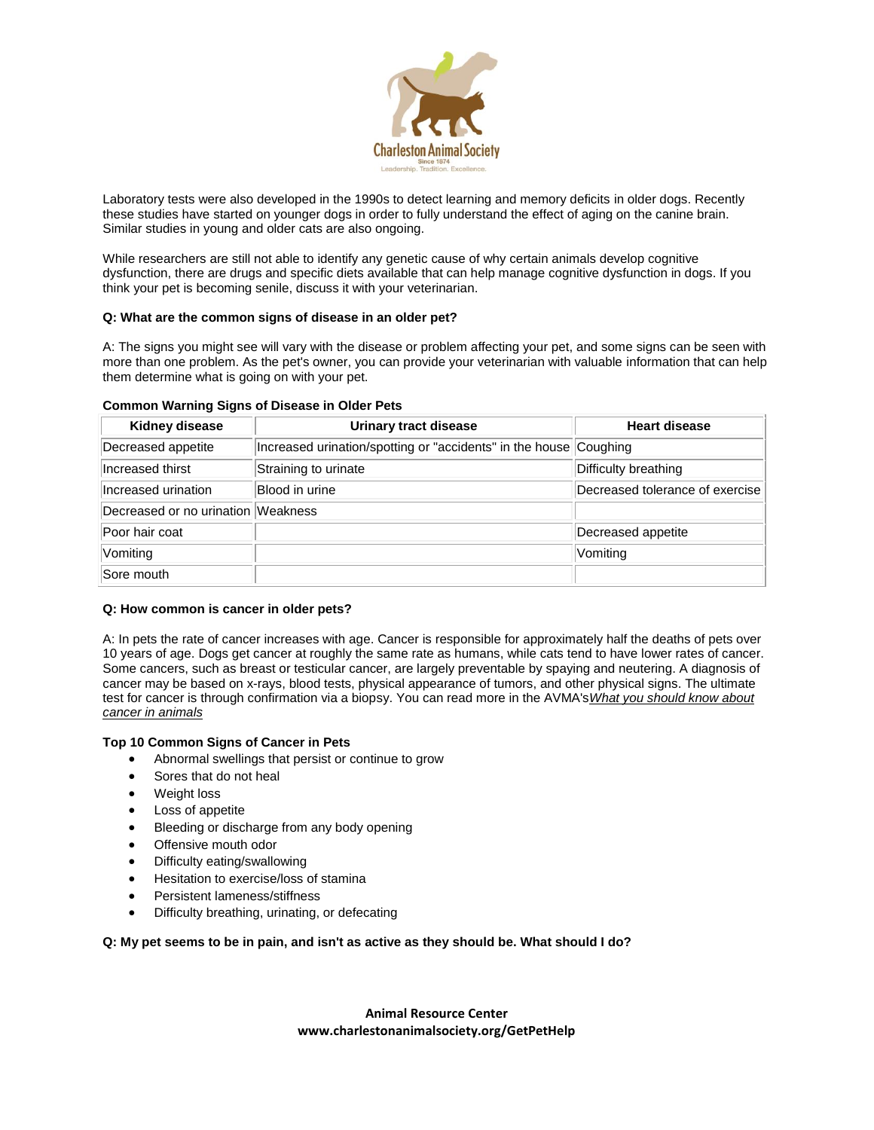

Laboratory tests were also developed in the 1990s to detect learning and memory deficits in older dogs. Recently these studies have started on younger dogs in order to fully understand the effect of aging on the canine brain. Similar studies in young and older cats are also ongoing.

While researchers are still not able to identify any genetic cause of why certain animals develop cognitive dysfunction, there are drugs and specific diets available that can help manage cognitive dysfunction in dogs. If you think your pet is becoming senile, discuss it with your veterinarian.

# **Q: What are the common signs of disease in an older pet?**

A: The signs you might see will vary with the disease or problem affecting your pet, and some signs can be seen with more than one problem. As the pet's owner, you can provide your veterinarian with valuable information that can help them determine what is going on with your pet.

| Kidney disease                     | Urinary tract disease                                             | <b>Heart disease</b>            |
|------------------------------------|-------------------------------------------------------------------|---------------------------------|
| Decreased appetite                 | Increased urination/spotting or "accidents" in the house Coughing |                                 |
| Increased thirst                   | Straining to urinate                                              | Difficulty breathing            |
| Increased urination                | Blood in urine                                                    | Decreased tolerance of exercise |
| Decreased or no urination Weakness |                                                                   |                                 |
| Poor hair coat                     |                                                                   | Decreased appetite              |
| Vomiting                           |                                                                   | Vomiting                        |
| Sore mouth                         |                                                                   |                                 |

### **Common Warning Signs of Disease in Older Pets**

# **Q: How common is cancer in older pets?**

A: In pets the rate of cancer increases with age. Cancer is responsible for approximately half the deaths of pets over 10 years of age. Dogs get cancer at roughly the same rate as humans, while cats tend to have lower rates of cancer. Some cancers, such as breast or testicular cancer, are largely preventable by spaying and neutering. A diagnosis of cancer may be based on x-rays, blood tests, physical appearance of tumors, and other physical signs. The ultimate test for cancer is through confirmation via a biopsy. You can read more in the AVMA's*[What you should know about](https://ebusiness.avma.org/login.aspx?rid=03&sid=103)  [cancer in animals](https://ebusiness.avma.org/login.aspx?rid=03&sid=103)*

# **Top 10 Common Signs of Cancer in Pets**

- Abnormal swellings that persist or continue to grow
- Sores that do not heal
- Weight loss
- Loss of appetite
- Bleeding or discharge from any body opening
- Offensive mouth odor
- Difficulty eating/swallowing
- **•** Hesitation to exercise/loss of stamina
- Persistent lameness/stiffness
- Difficulty breathing, urinating, or defecating

# **Q: My pet seems to be in pain, and isn't as active as they should be. What should I do?**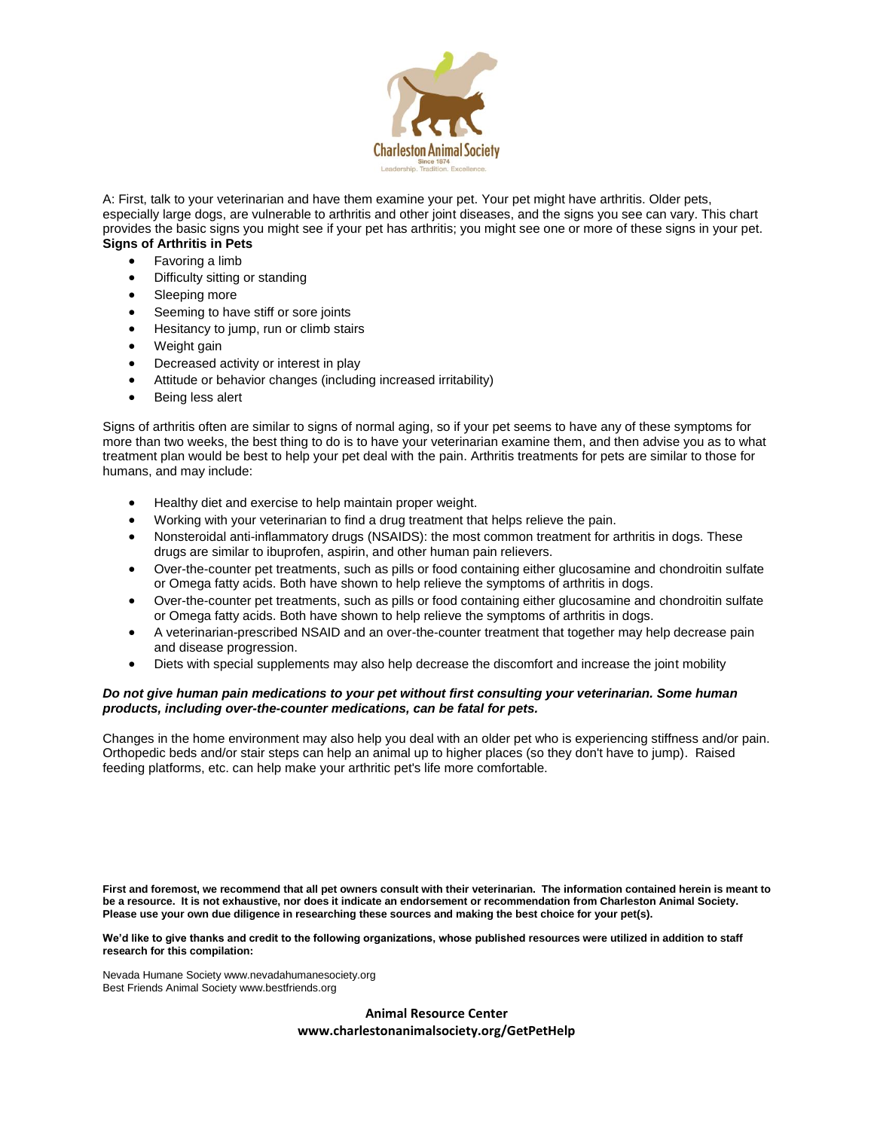

A: First, talk to your veterinarian and have them examine your pet. Your pet might have arthritis. Older pets, especially large dogs, are vulnerable to arthritis and other joint diseases, and the signs you see can vary. This chart provides the basic signs you might see if your pet has arthritis; you might see one or more of these signs in your pet. **Signs of Arthritis in Pets**

- Favoring a limb
- Difficulty sitting or standing
- Sleeping more
- Seeming to have stiff or sore joints
- Hesitancy to jump, run or climb stairs
- Weight gain
- Decreased activity or interest in play
- Attitude or behavior changes (including increased irritability)
- Being less alert

Signs of arthritis often are similar to signs of normal aging, so if your pet seems to have any of these symptoms for more than two weeks, the best thing to do is to have your veterinarian examine them, and then advise you as to what treatment plan would be best to help your pet deal with the pain. Arthritis treatments for pets are similar to those for humans, and may include:

- Healthy diet and exercise to help maintain proper weight.
- Working with your veterinarian to find a drug treatment that helps relieve the pain.
- Nonsteroidal anti-inflammatory drugs (NSAIDS): the most common treatment for arthritis in dogs. These drugs are similar to ibuprofen, aspirin, and other human pain relievers.
- Over-the-counter pet treatments, such as pills or food containing either glucosamine and chondroitin sulfate or Omega fatty acids. Both have shown to help relieve the symptoms of arthritis in dogs.
- Over-the-counter pet treatments, such as pills or food containing either glucosamine and chondroitin sulfate or Omega fatty acids. Both have shown to help relieve the symptoms of arthritis in dogs.
- A veterinarian-prescribed NSAID and an over-the-counter treatment that together may help decrease pain and disease progression.
- Diets with special supplements may also help decrease the discomfort and increase the joint mobility

### *Do not give human pain medications to your pet without first consulting your veterinarian. Some human products, including over-the-counter medications, can be fatal for pets.*

Changes in the home environment may also help you deal with an older pet who is experiencing stiffness and/or pain. Orthopedic beds and/or stair steps can help an animal up to higher places (so they don't have to jump). Raised feeding platforms, etc. can help make your arthritic pet's life more comfortable.

**First and foremost, we recommend that all pet owners consult with their veterinarian. The information contained herein is meant to be a resource. It is not exhaustive, nor does it indicate an endorsement or recommendation from Charleston Animal Society. Please use your own due diligence in researching these sources and making the best choice for your pet(s).**

**We'd like to give thanks and credit to the following organizations, whose published resources were utilized in addition to staff research for this compilation:**

Nevada Humane Society www.nevadahumanesociety.org Best Friends Animal Society www.bestfriends.org